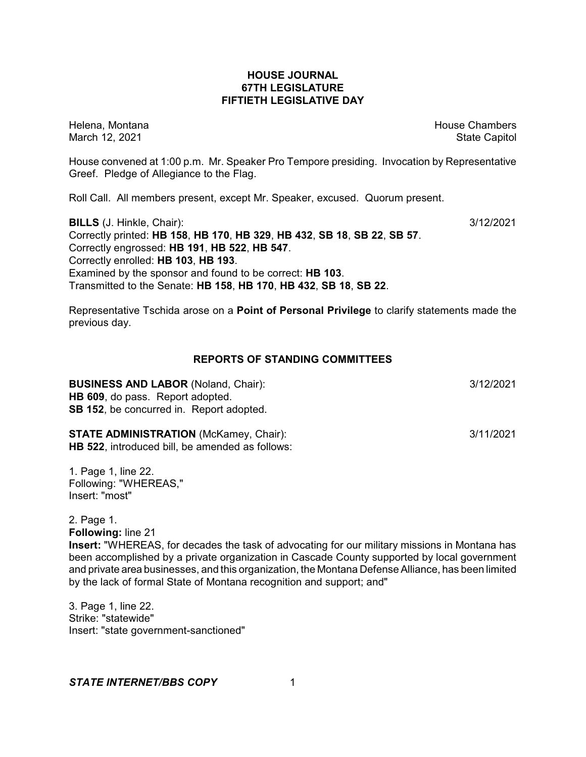## **HOUSE JOURNAL 67TH LEGISLATURE FIFTIETH LEGISLATIVE DAY**

Helena, Montana House Chambers Chambers Chambers and House Chambers Chambers Chambers Chambers Chambers Chambers March 12, 2021 **State Capitol** State Capitol State Capitol State Capitol State Capitol State Capitol State Capitol

House convened at 1:00 p.m. Mr. Speaker Pro Tempore presiding. Invocation by Representative Greef. Pledge of Allegiance to the Flag.

Roll Call. All members present, except Mr. Speaker, excused. Quorum present.

**BILLS** (J. Hinkle, Chair): 3/12/2021 Correctly printed: **HB 158**, **HB 170**, **HB 329**, **HB 432**, **SB 18**, **SB 22**, **SB 57**. Correctly engrossed: **HB 191**, **HB 522**, **HB 547**. Correctly enrolled: **HB 103**, **HB 193**. Examined by the sponsor and found to be correct: **HB 103**. Transmitted to the Senate: **HB 158**, **HB 170**, **HB 432**, **SB 18**, **SB 22**.

Representative Tschida arose on a **Point of Personal Privilege** to clarify statements made the previous day.

## **REPORTS OF STANDING COMMITTEES**

**BUSINESS AND LABOR** (Noland, Chair):  $\frac{3}{12/2021}$ **HB 609**, do pass. Report adopted. **SB 152**, be concurred in. Report adopted.

## **STATE ADMINISTRATION** (McKamey, Chair):  $\frac{3}{11/2021}$

**HB 522**, introduced bill, be amended as follows:

1. Page 1, line 22. Following: "WHEREAS," Insert: "most"

2. Page 1.

**Following:** line 21

**Insert:** "WHEREAS, for decades the task of advocating for our military missions in Montana has been accomplished by a private organization in Cascade County supported by local government and private area businesses, and this organization, the Montana Defense Alliance, has been limited by the lack of formal State of Montana recognition and support; and"

3. Page 1, line 22. Strike: "statewide" Insert: "state government-sanctioned"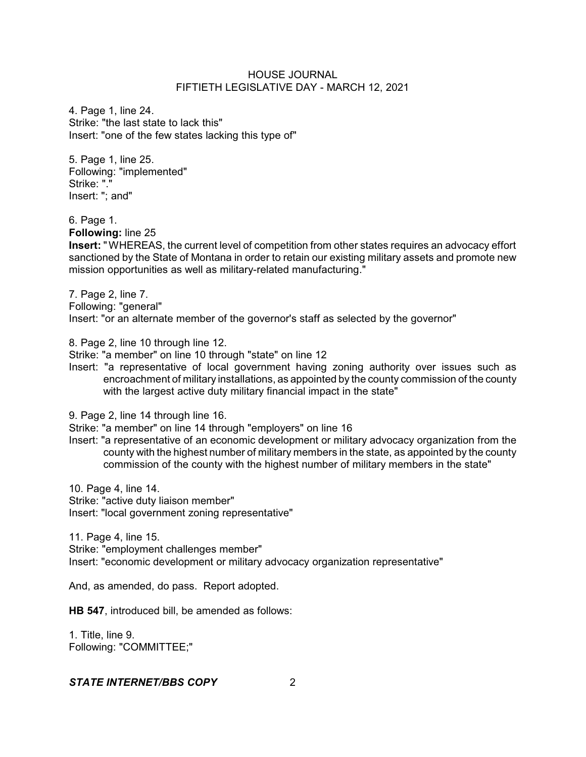4. Page 1, line 24. Strike: "the last state to lack this" Insert: "one of the few states lacking this type of"

5. Page 1, line 25. Following: "implemented" Strike: "." Insert: "; and"

6. Page 1.

**Following:** line 25

**Insert:** " WHEREAS, the current level of competition from other states requires an advocacy effort sanctioned by the State of Montana in order to retain our existing military assets and promote new mission opportunities as well as military-related manufacturing."

7. Page 2, line 7. Following: "general" Insert: "or an alternate member of the governor's staff as selected by the governor"

8. Page 2, line 10 through line 12.

Strike: "a member" on line 10 through "state" on line 12

Insert: "a representative of local government having zoning authority over issues such as encroachment of military installations, as appointed by the county commission of the county with the largest active duty military financial impact in the state"

9. Page 2, line 14 through line 16.

Strike: "a member" on line 14 through "employers" on line 16

Insert: "a representative of an economic development or military advocacy organization from the county with the highest number of military members in the state, as appointed by the county commission of the county with the highest number of military members in the state"

10. Page 4, line 14.

Strike: "active duty liaison member" Insert: "local government zoning representative"

11. Page 4, line 15. Strike: "employment challenges member" Insert: "economic development or military advocacy organization representative"

And, as amended, do pass. Report adopted.

**HB 547**, introduced bill, be amended as follows:

1. Title, line 9. Following: "COMMITTEE;"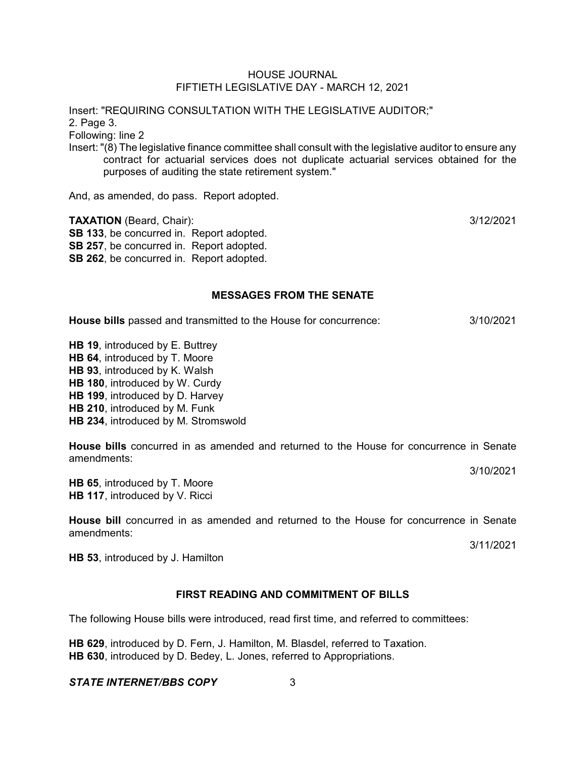Insert: "REQUIRING CONSULTATION WITH THE LEGISLATIVE AUDITOR;" 2. Page 3.

Following: line 2

Insert: "(8) The legislative finance committee shall consult with the legislative auditor to ensure any contract for actuarial services does not duplicate actuarial services obtained for the purposes of auditing the state retirement system."

And, as amended, do pass. Report adopted.

**TAXATION** (Beard, Chair): 3/12/2021 **SB 133**, be concurred in. Report adopted. **SB 257**, be concurred in. Report adopted. **SB 262**, be concurred in. Report adopted.

## **MESSAGES FROM THE SENATE**

**House bills** passed and transmitted to the House for concurrence: 3/10/2021

**HB 19**, introduced by E. Buttrey **HB 64**, introduced by T. Moore **HB 93**, introduced by K. Walsh **HB 180**, introduced by W. Curdy **HB 199**, introduced by D. Harvey **HB 210**, introduced by M. Funk **HB 234**, introduced by M. Stromswold

**House bills** concurred in as amended and returned to the House for concurrence in Senate amendments:

3/10/2021

**HB 65**, introduced by T. Moore **HB 117**, introduced by V. Ricci

**House bill** concurred in as amended and returned to the House for concurrence in Senate amendments:

3/11/2021

**HB 53**, introduced by J. Hamilton

# **FIRST READING AND COMMITMENT OF BILLS**

The following House bills were introduced, read first time, and referred to committees:

**HB 629**, introduced by D. Fern, J. Hamilton, M. Blasdel, referred to Taxation. **HB 630**, introduced by D. Bedey, L. Jones, referred to Appropriations.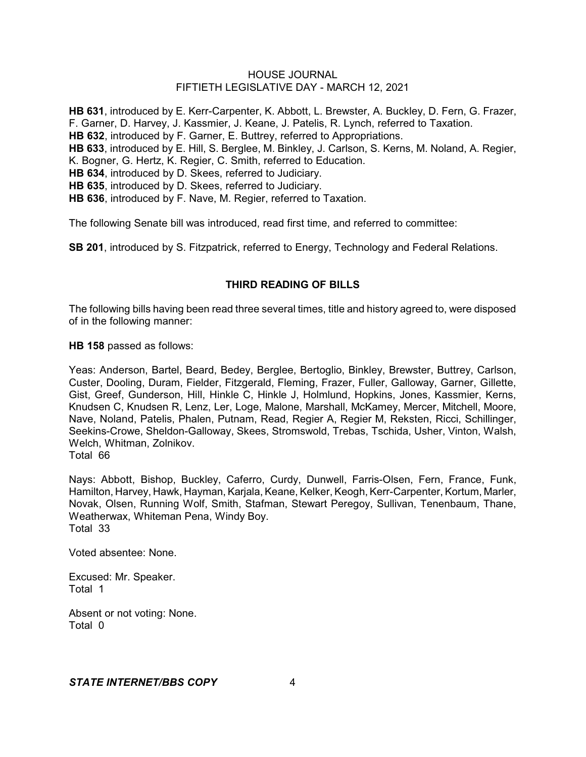**HB 631**, introduced by E. Kerr-Carpenter, K. Abbott, L. Brewster, A. Buckley, D. Fern, G. Frazer, F. Garner, D. Harvey, J. Kassmier, J. Keane, J. Patelis, R. Lynch, referred to Taxation. **HB 632**, introduced by F. Garner, E. Buttrey, referred to Appropriations. **HB 633**, introduced by E. Hill, S. Berglee, M. Binkley, J. Carlson, S. Kerns, M. Noland, A. Regier, K. Bogner, G. Hertz, K. Regier, C. Smith, referred to Education. **HB 634**, introduced by D. Skees, referred to Judiciary. **HB 635**, introduced by D. Skees, referred to Judiciary. **HB 636**, introduced by F. Nave, M. Regier, referred to Taxation.

The following Senate bill was introduced, read first time, and referred to committee:

**SB 201**, introduced by S. Fitzpatrick, referred to Energy, Technology and Federal Relations.

## **THIRD READING OF BILLS**

The following bills having been read three several times, title and history agreed to, were disposed of in the following manner:

**HB 158** passed as follows:

Yeas: Anderson, Bartel, Beard, Bedey, Berglee, Bertoglio, Binkley, Brewster, Buttrey, Carlson, Custer, Dooling, Duram, Fielder, Fitzgerald, Fleming, Frazer, Fuller, Galloway, Garner, Gillette, Gist, Greef, Gunderson, Hill, Hinkle C, Hinkle J, Holmlund, Hopkins, Jones, Kassmier, Kerns, Knudsen C, Knudsen R, Lenz, Ler, Loge, Malone, Marshall, McKamey, Mercer, Mitchell, Moore, Nave, Noland, Patelis, Phalen, Putnam, Read, Regier A, Regier M, Reksten, Ricci, Schillinger, Seekins-Crowe, Sheldon-Galloway, Skees, Stromswold, Trebas, Tschida, Usher, Vinton, Walsh, Welch, Whitman, Zolnikov.

Total 66

Nays: Abbott, Bishop, Buckley, Caferro, Curdy, Dunwell, Farris-Olsen, Fern, France, Funk, Hamilton, Harvey, Hawk, Hayman, Karjala, Keane, Kelker, Keogh, Kerr-Carpenter, Kortum, Marler, Novak, Olsen, Running Wolf, Smith, Stafman, Stewart Peregoy, Sullivan, Tenenbaum, Thane, Weatherwax, Whiteman Pena, Windy Boy. Total 33

Voted absentee: None.

Excused: Mr. Speaker. Total 1

Absent or not voting: None. Total 0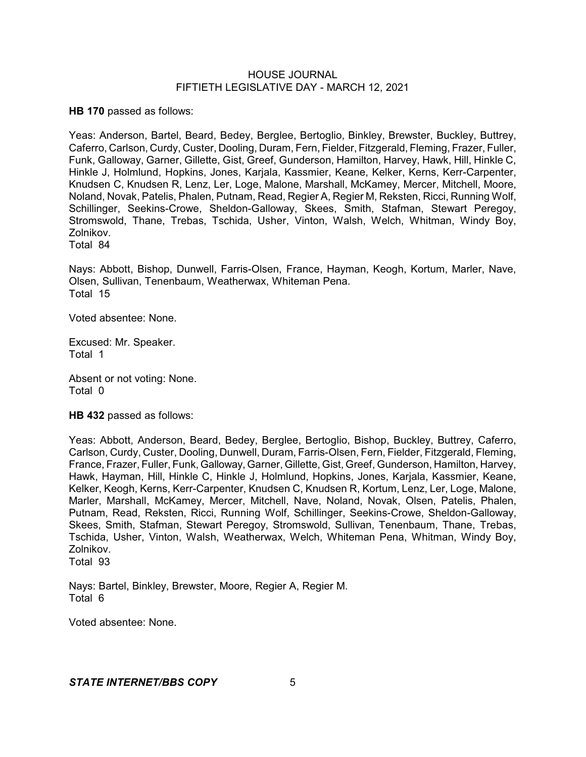**HB 170** passed as follows:

Yeas: Anderson, Bartel, Beard, Bedey, Berglee, Bertoglio, Binkley, Brewster, Buckley, Buttrey, Caferro, Carlson, Curdy, Custer, Dooling, Duram, Fern, Fielder, Fitzgerald, Fleming, Frazer, Fuller, Funk, Galloway, Garner, Gillette, Gist, Greef, Gunderson, Hamilton, Harvey, Hawk, Hill, Hinkle C, Hinkle J, Holmlund, Hopkins, Jones, Karjala, Kassmier, Keane, Kelker, Kerns, Kerr-Carpenter, Knudsen C, Knudsen R, Lenz, Ler, Loge, Malone, Marshall, McKamey, Mercer, Mitchell, Moore, Noland, Novak, Patelis, Phalen, Putnam, Read, Regier A, Regier M, Reksten, Ricci, Running Wolf, Schillinger, Seekins-Crowe, Sheldon-Galloway, Skees, Smith, Stafman, Stewart Peregoy, Stromswold, Thane, Trebas, Tschida, Usher, Vinton, Walsh, Welch, Whitman, Windy Boy, Zolnikov. Total 84

Nays: Abbott, Bishop, Dunwell, Farris-Olsen, France, Hayman, Keogh, Kortum, Marler, Nave, Olsen, Sullivan, Tenenbaum, Weatherwax, Whiteman Pena. Total 15

Voted absentee: None.

Excused: Mr. Speaker. Total 1

Absent or not voting: None. Total 0

**HB 432** passed as follows:

Yeas: Abbott, Anderson, Beard, Bedey, Berglee, Bertoglio, Bishop, Buckley, Buttrey, Caferro, Carlson, Curdy, Custer, Dooling, Dunwell, Duram, Farris-Olsen, Fern, Fielder, Fitzgerald, Fleming, France, Frazer, Fuller, Funk, Galloway, Garner, Gillette, Gist, Greef, Gunderson, Hamilton, Harvey, Hawk, Hayman, Hill, Hinkle C, Hinkle J, Holmlund, Hopkins, Jones, Karjala, Kassmier, Keane, Kelker, Keogh, Kerns, Kerr-Carpenter, Knudsen C, Knudsen R, Kortum, Lenz, Ler, Loge, Malone, Marler, Marshall, McKamey, Mercer, Mitchell, Nave, Noland, Novak, Olsen, Patelis, Phalen, Putnam, Read, Reksten, Ricci, Running Wolf, Schillinger, Seekins-Crowe, Sheldon-Galloway, Skees, Smith, Stafman, Stewart Peregoy, Stromswold, Sullivan, Tenenbaum, Thane, Trebas, Tschida, Usher, Vinton, Walsh, Weatherwax, Welch, Whiteman Pena, Whitman, Windy Boy, Zolnikov. Total 93

Nays: Bartel, Binkley, Brewster, Moore, Regier A, Regier M. Total 6

Voted absentee: None.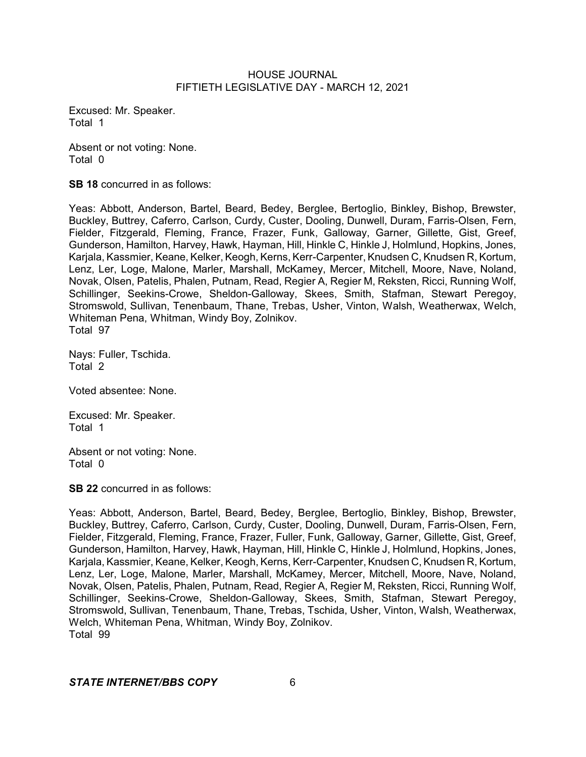Excused: Mr. Speaker. Total 1

Absent or not voting: None. Total 0

**SB 18** concurred in as follows:

Yeas: Abbott, Anderson, Bartel, Beard, Bedey, Berglee, Bertoglio, Binkley, Bishop, Brewster, Buckley, Buttrey, Caferro, Carlson, Curdy, Custer, Dooling, Dunwell, Duram, Farris-Olsen, Fern, Fielder, Fitzgerald, Fleming, France, Frazer, Funk, Galloway, Garner, Gillette, Gist, Greef, Gunderson, Hamilton, Harvey, Hawk, Hayman, Hill, Hinkle C, Hinkle J, Holmlund, Hopkins, Jones, Karjala, Kassmier, Keane, Kelker, Keogh, Kerns, Kerr-Carpenter, Knudsen C, Knudsen R, Kortum, Lenz, Ler, Loge, Malone, Marler, Marshall, McKamey, Mercer, Mitchell, Moore, Nave, Noland, Novak, Olsen, Patelis, Phalen, Putnam, Read, Regier A, Regier M, Reksten, Ricci, Running Wolf, Schillinger, Seekins-Crowe, Sheldon-Galloway, Skees, Smith, Stafman, Stewart Peregoy, Stromswold, Sullivan, Tenenbaum, Thane, Trebas, Usher, Vinton, Walsh, Weatherwax, Welch, Whiteman Pena, Whitman, Windy Boy, Zolnikov. Total 97

Nays: Fuller, Tschida. Total 2

Voted absentee: None.

Excused: Mr. Speaker. Total 1

Absent or not voting: None. Total 0

**SB 22** concurred in as follows:

Yeas: Abbott, Anderson, Bartel, Beard, Bedey, Berglee, Bertoglio, Binkley, Bishop, Brewster, Buckley, Buttrey, Caferro, Carlson, Curdy, Custer, Dooling, Dunwell, Duram, Farris-Olsen, Fern, Fielder, Fitzgerald, Fleming, France, Frazer, Fuller, Funk, Galloway, Garner, Gillette, Gist, Greef, Gunderson, Hamilton, Harvey, Hawk, Hayman, Hill, Hinkle C, Hinkle J, Holmlund, Hopkins, Jones, Karjala, Kassmier, Keane, Kelker, Keogh, Kerns, Kerr-Carpenter, Knudsen C, Knudsen R, Kortum, Lenz, Ler, Loge, Malone, Marler, Marshall, McKamey, Mercer, Mitchell, Moore, Nave, Noland, Novak, Olsen, Patelis, Phalen, Putnam, Read, Regier A, Regier M, Reksten, Ricci, Running Wolf, Schillinger, Seekins-Crowe, Sheldon-Galloway, Skees, Smith, Stafman, Stewart Peregoy, Stromswold, Sullivan, Tenenbaum, Thane, Trebas, Tschida, Usher, Vinton, Walsh, Weatherwax, Welch, Whiteman Pena, Whitman, Windy Boy, Zolnikov. Total 99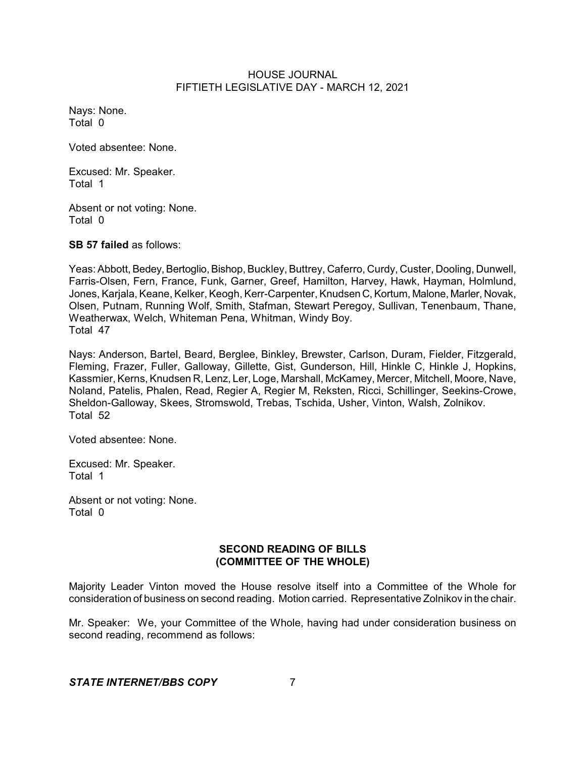Nays: None. Total 0

Voted absentee: None.

Excused: Mr. Speaker. Total 1

Absent or not voting: None. Total 0

**SB 57 failed** as follows:

Yeas: Abbott, Bedey, Bertoglio, Bishop, Buckley, Buttrey, Caferro, Curdy, Custer, Dooling, Dunwell, Farris-Olsen, Fern, France, Funk, Garner, Greef, Hamilton, Harvey, Hawk, Hayman, Holmlund, Jones, Karjala, Keane, Kelker, Keogh, Kerr-Carpenter, Knudsen C, Kortum, Malone, Marler, Novak, Olsen, Putnam, Running Wolf, Smith, Stafman, Stewart Peregoy, Sullivan, Tenenbaum, Thane, Weatherwax, Welch, Whiteman Pena, Whitman, Windy Boy. Total 47

Nays: Anderson, Bartel, Beard, Berglee, Binkley, Brewster, Carlson, Duram, Fielder, Fitzgerald, Fleming, Frazer, Fuller, Galloway, Gillette, Gist, Gunderson, Hill, Hinkle C, Hinkle J, Hopkins, Kassmier, Kerns, Knudsen R, Lenz, Ler, Loge, Marshall, McKamey, Mercer, Mitchell, Moore, Nave, Noland, Patelis, Phalen, Read, Regier A, Regier M, Reksten, Ricci, Schillinger, Seekins-Crowe, Sheldon-Galloway, Skees, Stromswold, Trebas, Tschida, Usher, Vinton, Walsh, Zolnikov. Total 52

Voted absentee: None.

Excused: Mr. Speaker. Total 1

Absent or not voting: None. Total 0

# **SECOND READING OF BILLS (COMMITTEE OF THE WHOLE)**

Majority Leader Vinton moved the House resolve itself into a Committee of the Whole for consideration of business on second reading. Motion carried. Representative Zolnikov in the chair.

Mr. Speaker: We, your Committee of the Whole, having had under consideration business on second reading, recommend as follows: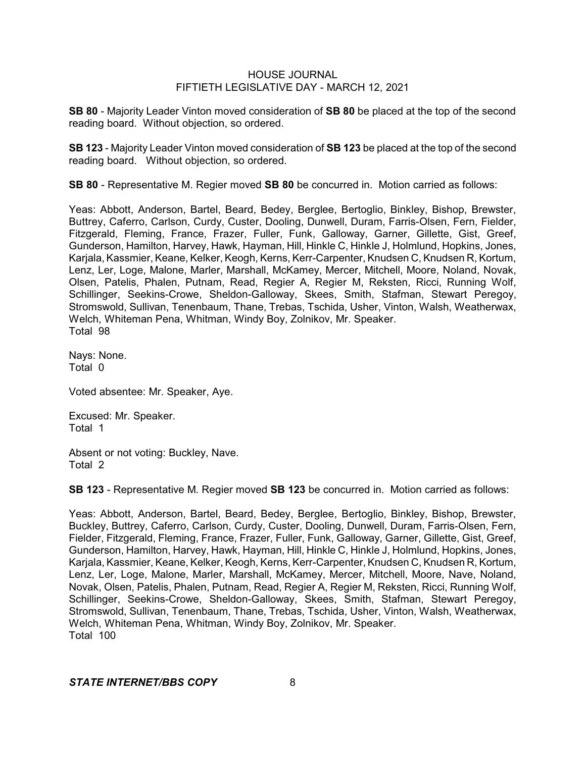**SB 80** - Majority Leader Vinton moved consideration of **SB 80** be placed at the top of the second reading board. Without objection, so ordered.

**SB 123** - Majority Leader Vinton moved consideration of **SB 123** be placed at the top of the second reading board. Without objection, so ordered.

**SB 80** - Representative M. Regier moved **SB 80** be concurred in. Motion carried as follows:

Yeas: Abbott, Anderson, Bartel, Beard, Bedey, Berglee, Bertoglio, Binkley, Bishop, Brewster, Buttrey, Caferro, Carlson, Curdy, Custer, Dooling, Dunwell, Duram, Farris-Olsen, Fern, Fielder, Fitzgerald, Fleming, France, Frazer, Fuller, Funk, Galloway, Garner, Gillette, Gist, Greef, Gunderson, Hamilton, Harvey, Hawk, Hayman, Hill, Hinkle C, Hinkle J, Holmlund, Hopkins, Jones, Karjala, Kassmier, Keane, Kelker, Keogh, Kerns, Kerr-Carpenter, Knudsen C, Knudsen R, Kortum, Lenz, Ler, Loge, Malone, Marler, Marshall, McKamey, Mercer, Mitchell, Moore, Noland, Novak, Olsen, Patelis, Phalen, Putnam, Read, Regier A, Regier M, Reksten, Ricci, Running Wolf, Schillinger, Seekins-Crowe, Sheldon-Galloway, Skees, Smith, Stafman, Stewart Peregoy, Stromswold, Sullivan, Tenenbaum, Thane, Trebas, Tschida, Usher, Vinton, Walsh, Weatherwax, Welch, Whiteman Pena, Whitman, Windy Boy, Zolnikov, Mr. Speaker. Total 98

Nays: None. Total 0

Voted absentee: Mr. Speaker, Aye.

Excused: Mr. Speaker. Total 1

Absent or not voting: Buckley, Nave. Total 2

**SB 123** - Representative M. Regier moved **SB 123** be concurred in. Motion carried as follows:

Yeas: Abbott, Anderson, Bartel, Beard, Bedey, Berglee, Bertoglio, Binkley, Bishop, Brewster, Buckley, Buttrey, Caferro, Carlson, Curdy, Custer, Dooling, Dunwell, Duram, Farris-Olsen, Fern, Fielder, Fitzgerald, Fleming, France, Frazer, Fuller, Funk, Galloway, Garner, Gillette, Gist, Greef, Gunderson, Hamilton, Harvey, Hawk, Hayman, Hill, Hinkle C, Hinkle J, Holmlund, Hopkins, Jones, Karjala, Kassmier, Keane, Kelker, Keogh, Kerns, Kerr-Carpenter, Knudsen C, Knudsen R, Kortum, Lenz, Ler, Loge, Malone, Marler, Marshall, McKamey, Mercer, Mitchell, Moore, Nave, Noland, Novak, Olsen, Patelis, Phalen, Putnam, Read, Regier A, Regier M, Reksten, Ricci, Running Wolf, Schillinger, Seekins-Crowe, Sheldon-Galloway, Skees, Smith, Stafman, Stewart Peregoy, Stromswold, Sullivan, Tenenbaum, Thane, Trebas, Tschida, Usher, Vinton, Walsh, Weatherwax, Welch, Whiteman Pena, Whitman, Windy Boy, Zolnikov, Mr. Speaker. Total 100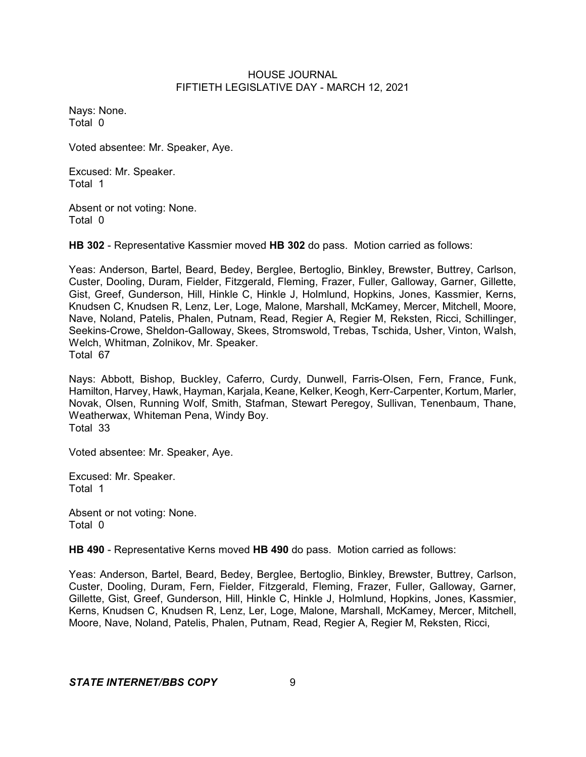Nays: None. Total 0

Voted absentee: Mr. Speaker, Aye.

Excused: Mr. Speaker. Total 1

Absent or not voting: None. Total 0

**HB 302** - Representative Kassmier moved **HB 302** do pass. Motion carried as follows:

Yeas: Anderson, Bartel, Beard, Bedey, Berglee, Bertoglio, Binkley, Brewster, Buttrey, Carlson, Custer, Dooling, Duram, Fielder, Fitzgerald, Fleming, Frazer, Fuller, Galloway, Garner, Gillette, Gist, Greef, Gunderson, Hill, Hinkle C, Hinkle J, Holmlund, Hopkins, Jones, Kassmier, Kerns, Knudsen C, Knudsen R, Lenz, Ler, Loge, Malone, Marshall, McKamey, Mercer, Mitchell, Moore, Nave, Noland, Patelis, Phalen, Putnam, Read, Regier A, Regier M, Reksten, Ricci, Schillinger, Seekins-Crowe, Sheldon-Galloway, Skees, Stromswold, Trebas, Tschida, Usher, Vinton, Walsh, Welch, Whitman, Zolnikov, Mr. Speaker. Total 67

Nays: Abbott, Bishop, Buckley, Caferro, Curdy, Dunwell, Farris-Olsen, Fern, France, Funk, Hamilton, Harvey, Hawk, Hayman, Karjala, Keane, Kelker, Keogh, Kerr-Carpenter, Kortum, Marler, Novak, Olsen, Running Wolf, Smith, Stafman, Stewart Peregoy, Sullivan, Tenenbaum, Thane, Weatherwax, Whiteman Pena, Windy Boy. Total 33

Voted absentee: Mr. Speaker, Aye.

Excused: Mr. Speaker. Total 1

Absent or not voting: None. Total 0

**HB 490** - Representative Kerns moved **HB 490** do pass. Motion carried as follows:

Yeas: Anderson, Bartel, Beard, Bedey, Berglee, Bertoglio, Binkley, Brewster, Buttrey, Carlson, Custer, Dooling, Duram, Fern, Fielder, Fitzgerald, Fleming, Frazer, Fuller, Galloway, Garner, Gillette, Gist, Greef, Gunderson, Hill, Hinkle C, Hinkle J, Holmlund, Hopkins, Jones, Kassmier, Kerns, Knudsen C, Knudsen R, Lenz, Ler, Loge, Malone, Marshall, McKamey, Mercer, Mitchell, Moore, Nave, Noland, Patelis, Phalen, Putnam, Read, Regier A, Regier M, Reksten, Ricci,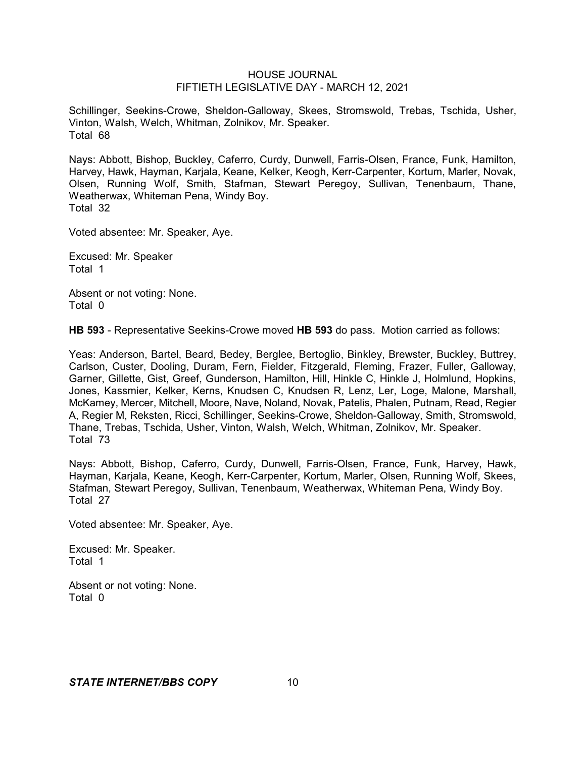Schillinger, Seekins-Crowe, Sheldon-Galloway, Skees, Stromswold, Trebas, Tschida, Usher, Vinton, Walsh, Welch, Whitman, Zolnikov, Mr. Speaker. Total 68

Nays: Abbott, Bishop, Buckley, Caferro, Curdy, Dunwell, Farris-Olsen, France, Funk, Hamilton, Harvey, Hawk, Hayman, Karjala, Keane, Kelker, Keogh, Kerr-Carpenter, Kortum, Marler, Novak, Olsen, Running Wolf, Smith, Stafman, Stewart Peregoy, Sullivan, Tenenbaum, Thane, Weatherwax, Whiteman Pena, Windy Boy. Total 32

Voted absentee: Mr. Speaker, Aye.

Excused: Mr. Speaker Total 1

Absent or not voting: None. Total 0

**HB 593** - Representative Seekins-Crowe moved **HB 593** do pass. Motion carried as follows:

Yeas: Anderson, Bartel, Beard, Bedey, Berglee, Bertoglio, Binkley, Brewster, Buckley, Buttrey, Carlson, Custer, Dooling, Duram, Fern, Fielder, Fitzgerald, Fleming, Frazer, Fuller, Galloway, Garner, Gillette, Gist, Greef, Gunderson, Hamilton, Hill, Hinkle C, Hinkle J, Holmlund, Hopkins, Jones, Kassmier, Kelker, Kerns, Knudsen C, Knudsen R, Lenz, Ler, Loge, Malone, Marshall, McKamey, Mercer, Mitchell, Moore, Nave, Noland, Novak, Patelis, Phalen, Putnam, Read, Regier A, Regier M, Reksten, Ricci, Schillinger, Seekins-Crowe, Sheldon-Galloway, Smith, Stromswold, Thane, Trebas, Tschida, Usher, Vinton, Walsh, Welch, Whitman, Zolnikov, Mr. Speaker. Total 73

Nays: Abbott, Bishop, Caferro, Curdy, Dunwell, Farris-Olsen, France, Funk, Harvey, Hawk, Hayman, Karjala, Keane, Keogh, Kerr-Carpenter, Kortum, Marler, Olsen, Running Wolf, Skees, Stafman, Stewart Peregoy, Sullivan, Tenenbaum, Weatherwax, Whiteman Pena, Windy Boy. Total 27

Voted absentee: Mr. Speaker, Aye.

Excused: Mr. Speaker. Total 1

Absent or not voting: None. Total 0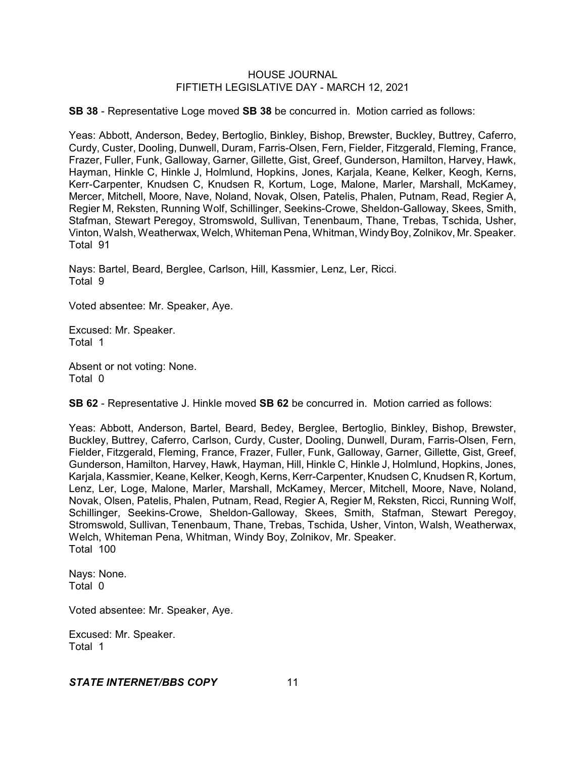**SB 38** - Representative Loge moved **SB 38** be concurred in. Motion carried as follows:

Yeas: Abbott, Anderson, Bedey, Bertoglio, Binkley, Bishop, Brewster, Buckley, Buttrey, Caferro, Curdy, Custer, Dooling, Dunwell, Duram, Farris-Olsen, Fern, Fielder, Fitzgerald, Fleming, France, Frazer, Fuller, Funk, Galloway, Garner, Gillette, Gist, Greef, Gunderson, Hamilton, Harvey, Hawk, Hayman, Hinkle C, Hinkle J, Holmlund, Hopkins, Jones, Karjala, Keane, Kelker, Keogh, Kerns, Kerr-Carpenter, Knudsen C, Knudsen R, Kortum, Loge, Malone, Marler, Marshall, McKamey, Mercer, Mitchell, Moore, Nave, Noland, Novak, Olsen, Patelis, Phalen, Putnam, Read, Regier A, Regier M, Reksten, Running Wolf, Schillinger, Seekins-Crowe, Sheldon-Galloway, Skees, Smith, Stafman, Stewart Peregoy, Stromswold, Sullivan, Tenenbaum, Thane, Trebas, Tschida, Usher, Vinton, Walsh, Weatherwax, Welch, Whiteman Pena, Whitman, Windy Boy, Zolnikov, Mr. Speaker. Total 91

Nays: Bartel, Beard, Berglee, Carlson, Hill, Kassmier, Lenz, Ler, Ricci. Total 9

Voted absentee: Mr. Speaker, Aye.

Excused: Mr. Speaker. Total 1

Absent or not voting: None. Total 0

**SB 62** - Representative J. Hinkle moved **SB 62** be concurred in. Motion carried as follows:

Yeas: Abbott, Anderson, Bartel, Beard, Bedey, Berglee, Bertoglio, Binkley, Bishop, Brewster, Buckley, Buttrey, Caferro, Carlson, Curdy, Custer, Dooling, Dunwell, Duram, Farris-Olsen, Fern, Fielder, Fitzgerald, Fleming, France, Frazer, Fuller, Funk, Galloway, Garner, Gillette, Gist, Greef, Gunderson, Hamilton, Harvey, Hawk, Hayman, Hill, Hinkle C, Hinkle J, Holmlund, Hopkins, Jones, Karjala, Kassmier, Keane, Kelker, Keogh, Kerns, Kerr-Carpenter, Knudsen C, Knudsen R, Kortum, Lenz, Ler, Loge, Malone, Marler, Marshall, McKamey, Mercer, Mitchell, Moore, Nave, Noland, Novak, Olsen, Patelis, Phalen, Putnam, Read, Regier A, Regier M, Reksten, Ricci, Running Wolf, Schillinger, Seekins-Crowe, Sheldon-Galloway, Skees, Smith, Stafman, Stewart Peregoy, Stromswold, Sullivan, Tenenbaum, Thane, Trebas, Tschida, Usher, Vinton, Walsh, Weatherwax, Welch, Whiteman Pena, Whitman, Windy Boy, Zolnikov, Mr. Speaker. Total 100

Nays: None. Total 0

Voted absentee: Mr. Speaker, Aye.

Excused: Mr. Speaker. Total 1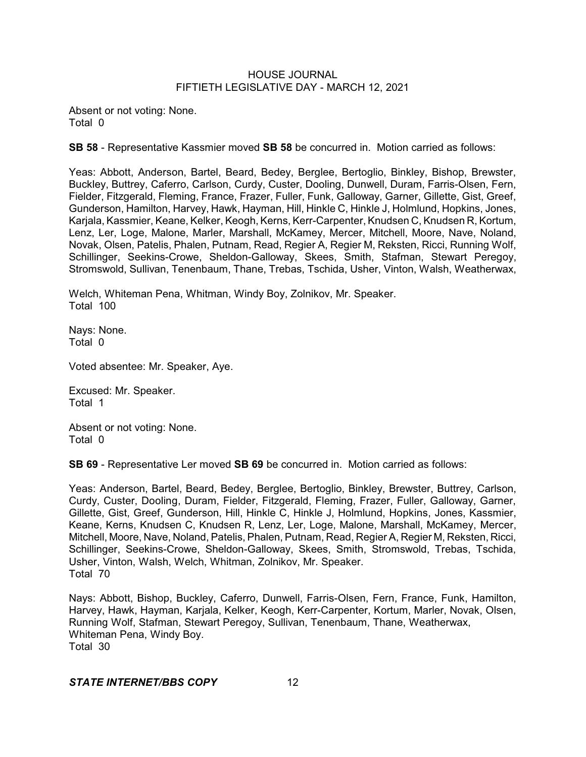Absent or not voting: None. Total 0

**SB 58** - Representative Kassmier moved **SB 58** be concurred in. Motion carried as follows:

Yeas: Abbott, Anderson, Bartel, Beard, Bedey, Berglee, Bertoglio, Binkley, Bishop, Brewster, Buckley, Buttrey, Caferro, Carlson, Curdy, Custer, Dooling, Dunwell, Duram, Farris-Olsen, Fern, Fielder, Fitzgerald, Fleming, France, Frazer, Fuller, Funk, Galloway, Garner, Gillette, Gist, Greef, Gunderson, Hamilton, Harvey, Hawk, Hayman, Hill, Hinkle C, Hinkle J, Holmlund, Hopkins, Jones, Karjala, Kassmier, Keane, Kelker, Keogh, Kerns, Kerr-Carpenter, Knudsen C, Knudsen R, Kortum, Lenz, Ler, Loge, Malone, Marler, Marshall, McKamey, Mercer, Mitchell, Moore, Nave, Noland, Novak, Olsen, Patelis, Phalen, Putnam, Read, Regier A, Regier M, Reksten, Ricci, Running Wolf, Schillinger, Seekins-Crowe, Sheldon-Galloway, Skees, Smith, Stafman, Stewart Peregoy, Stromswold, Sullivan, Tenenbaum, Thane, Trebas, Tschida, Usher, Vinton, Walsh, Weatherwax,

Welch, Whiteman Pena, Whitman, Windy Boy, Zolnikov, Mr. Speaker. Total 100

Nays: None. Total 0

Voted absentee: Mr. Speaker, Aye.

Excused: Mr. Speaker. Total 1

Absent or not voting: None. Total 0

**SB 69** - Representative Ler moved **SB 69** be concurred in. Motion carried as follows:

Yeas: Anderson, Bartel, Beard, Bedey, Berglee, Bertoglio, Binkley, Brewster, Buttrey, Carlson, Curdy, Custer, Dooling, Duram, Fielder, Fitzgerald, Fleming, Frazer, Fuller, Galloway, Garner, Gillette, Gist, Greef, Gunderson, Hill, Hinkle C, Hinkle J, Holmlund, Hopkins, Jones, Kassmier, Keane, Kerns, Knudsen C, Knudsen R, Lenz, Ler, Loge, Malone, Marshall, McKamey, Mercer, Mitchell, Moore, Nave, Noland, Patelis, Phalen, Putnam, Read, Regier A, Regier M, Reksten, Ricci, Schillinger, Seekins-Crowe, Sheldon-Galloway, Skees, Smith, Stromswold, Trebas, Tschida, Usher, Vinton, Walsh, Welch, Whitman, Zolnikov, Mr. Speaker. Total 70

Nays: Abbott, Bishop, Buckley, Caferro, Dunwell, Farris-Olsen, Fern, France, Funk, Hamilton, Harvey, Hawk, Hayman, Karjala, Kelker, Keogh, Kerr-Carpenter, Kortum, Marler, Novak, Olsen, Running Wolf, Stafman, Stewart Peregoy, Sullivan, Tenenbaum, Thane, Weatherwax, Whiteman Pena, Windy Boy. Total 30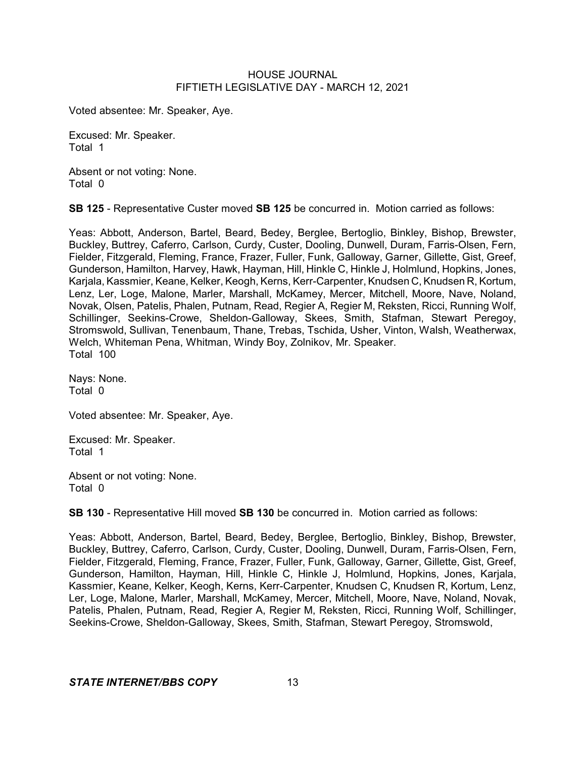Voted absentee: Mr. Speaker, Aye.

Excused: Mr. Speaker. Total 1

Absent or not voting: None. Total 0

**SB 125** - Representative Custer moved **SB 125** be concurred in. Motion carried as follows:

Yeas: Abbott, Anderson, Bartel, Beard, Bedey, Berglee, Bertoglio, Binkley, Bishop, Brewster, Buckley, Buttrey, Caferro, Carlson, Curdy, Custer, Dooling, Dunwell, Duram, Farris-Olsen, Fern, Fielder, Fitzgerald, Fleming, France, Frazer, Fuller, Funk, Galloway, Garner, Gillette, Gist, Greef, Gunderson, Hamilton, Harvey, Hawk, Hayman, Hill, Hinkle C, Hinkle J, Holmlund, Hopkins, Jones, Karjala, Kassmier, Keane, Kelker, Keogh, Kerns, Kerr-Carpenter, Knudsen C, Knudsen R, Kortum, Lenz, Ler, Loge, Malone, Marler, Marshall, McKamey, Mercer, Mitchell, Moore, Nave, Noland, Novak, Olsen, Patelis, Phalen, Putnam, Read, Regier A, Regier M, Reksten, Ricci, Running Wolf, Schillinger, Seekins-Crowe, Sheldon-Galloway, Skees, Smith, Stafman, Stewart Peregoy, Stromswold, Sullivan, Tenenbaum, Thane, Trebas, Tschida, Usher, Vinton, Walsh, Weatherwax, Welch, Whiteman Pena, Whitman, Windy Boy, Zolnikov, Mr. Speaker. Total 100

Nays: None. Total 0

Voted absentee: Mr. Speaker, Aye.

Excused: Mr. Speaker. Total 1

Absent or not voting: None. Total 0

**SB 130** - Representative Hill moved **SB 130** be concurred in. Motion carried as follows:

Yeas: Abbott, Anderson, Bartel, Beard, Bedey, Berglee, Bertoglio, Binkley, Bishop, Brewster, Buckley, Buttrey, Caferro, Carlson, Curdy, Custer, Dooling, Dunwell, Duram, Farris-Olsen, Fern, Fielder, Fitzgerald, Fleming, France, Frazer, Fuller, Funk, Galloway, Garner, Gillette, Gist, Greef, Gunderson, Hamilton, Hayman, Hill, Hinkle C, Hinkle J, Holmlund, Hopkins, Jones, Karjala, Kassmier, Keane, Kelker, Keogh, Kerns, Kerr-Carpenter, Knudsen C, Knudsen R, Kortum, Lenz, Ler, Loge, Malone, Marler, Marshall, McKamey, Mercer, Mitchell, Moore, Nave, Noland, Novak, Patelis, Phalen, Putnam, Read, Regier A, Regier M, Reksten, Ricci, Running Wolf, Schillinger, Seekins-Crowe, Sheldon-Galloway, Skees, Smith, Stafman, Stewart Peregoy, Stromswold,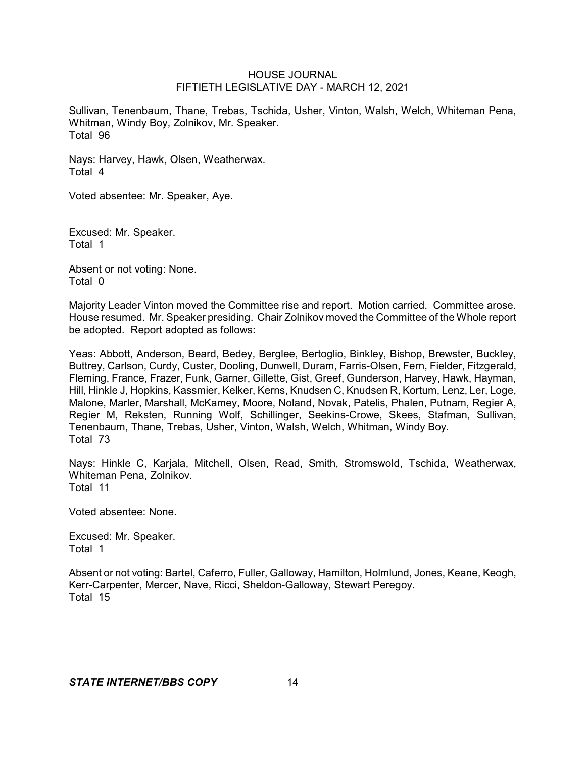Sullivan, Tenenbaum, Thane, Trebas, Tschida, Usher, Vinton, Walsh, Welch, Whiteman Pena, Whitman, Windy Boy, Zolnikov, Mr. Speaker. Total 96

Nays: Harvey, Hawk, Olsen, Weatherwax. Total 4

Voted absentee: Mr. Speaker, Aye.

Excused: Mr. Speaker. Total 1

Absent or not voting: None. Total 0

Majority Leader Vinton moved the Committee rise and report. Motion carried. Committee arose. House resumed. Mr. Speaker presiding. Chair Zolnikov moved the Committee of the Whole report be adopted. Report adopted as follows:

Yeas: Abbott, Anderson, Beard, Bedey, Berglee, Bertoglio, Binkley, Bishop, Brewster, Buckley, Buttrey, Carlson, Curdy, Custer, Dooling, Dunwell, Duram, Farris-Olsen, Fern, Fielder, Fitzgerald, Fleming, France, Frazer, Funk, Garner, Gillette, Gist, Greef, Gunderson, Harvey, Hawk, Hayman, Hill, Hinkle J, Hopkins, Kassmier, Kelker, Kerns, Knudsen C, Knudsen R, Kortum, Lenz, Ler, Loge, Malone, Marler, Marshall, McKamey, Moore, Noland, Novak, Patelis, Phalen, Putnam, Regier A, Regier M, Reksten, Running Wolf, Schillinger, Seekins-Crowe, Skees, Stafman, Sullivan, Tenenbaum, Thane, Trebas, Usher, Vinton, Walsh, Welch, Whitman, Windy Boy. Total 73

Nays: Hinkle C, Karjala, Mitchell, Olsen, Read, Smith, Stromswold, Tschida, Weatherwax, Whiteman Pena, Zolnikov. Total 11

Voted absentee: None.

Excused: Mr. Speaker. Total 1

Absent or not voting: Bartel, Caferro, Fuller, Galloway, Hamilton, Holmlund, Jones, Keane, Keogh, Kerr-Carpenter, Mercer, Nave, Ricci, Sheldon-Galloway, Stewart Peregoy. Total 15